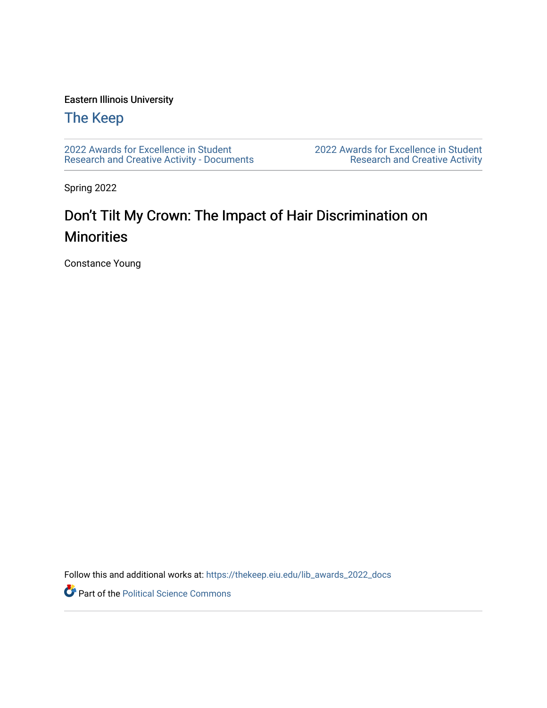### Eastern Illinois University

## [The Keep](https://thekeep.eiu.edu/)

[2022 Awards for Excellence in Student](https://thekeep.eiu.edu/lib_awards_2022_docs) [Research and Creative Activity - Documents](https://thekeep.eiu.edu/lib_awards_2022_docs) [2022 Awards for Excellence in Student](https://thekeep.eiu.edu/lib_awards_2022)  [Research and Creative Activity](https://thekeep.eiu.edu/lib_awards_2022) 

Spring 2022

# Don't Tilt My Crown: The Impact of Hair Discrimination on **Minorities**

Constance Young

Follow this and additional works at: [https://thekeep.eiu.edu/lib\\_awards\\_2022\\_docs](https://thekeep.eiu.edu/lib_awards_2022_docs?utm_source=thekeep.eiu.edu%2Flib_awards_2022_docs%2F2&utm_medium=PDF&utm_campaign=PDFCoverPages)

Part of the [Political Science Commons](http://network.bepress.com/hgg/discipline/386?utm_source=thekeep.eiu.edu%2Flib_awards_2022_docs%2F2&utm_medium=PDF&utm_campaign=PDFCoverPages)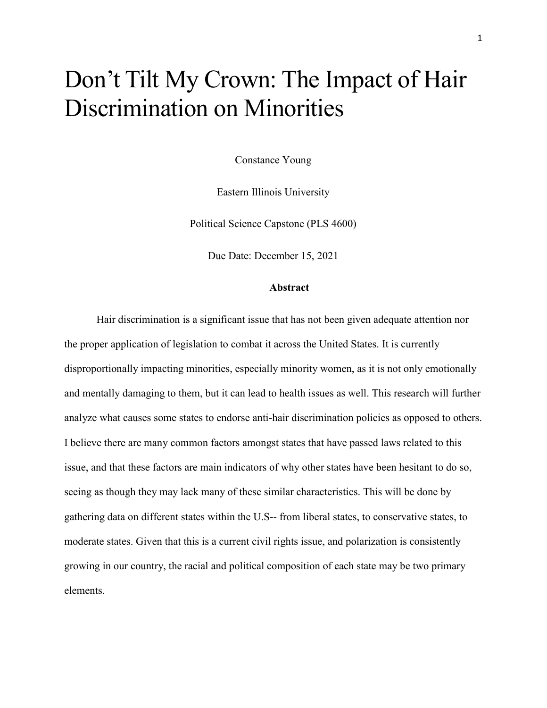# Don't Tilt My Crown: The Impact of Hair Discrimination on Minorities

Constance Young

Eastern Illinois University

Political Science Capstone (PLS 4600)

Due Date: December 15, 2021

#### **Abstract**

Hair discrimination is a significant issue that has not been given adequate attention nor the proper application of legislation to combat it across the United States. It is currently disproportionally impacting minorities, especially minority women, as it is not only emotionally and mentally damaging to them, but it can lead to health issues as well. This research will further analyze what causes some states to endorse anti-hair discrimination policies as opposed to others. I believe there are many common factors amongst states that have passed laws related to this issue, and that these factors are main indicators of why other states have been hesitant to do so, seeing as though they may lack many of these similar characteristics. This will be done by gathering data on different states within the U.S-- from liberal states, to conservative states, to moderate states. Given that this is a current civil rights issue, and polarization is consistently growing in our country, the racial and political composition of each state may be two primary elements.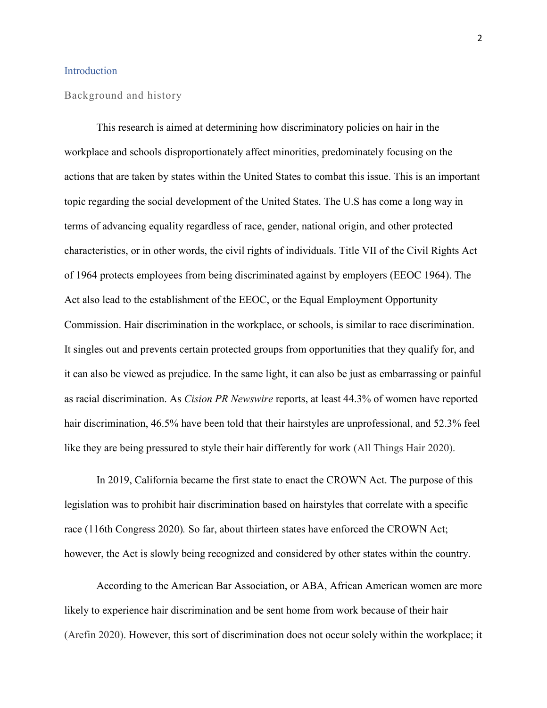#### Introduction

#### Background and history

This research is aimed at determining how discriminatory policies on hair in the workplace and schools disproportionately affect minorities, predominately focusing on the actions that are taken by states within the United States to combat this issue. This is an important topic regarding the social development of the United States. The U.S has come a long way in terms of advancing equality regardless of race, gender, national origin, and other protected characteristics, or in other words, the civil rights of individuals. Title VII of the Civil Rights Act of 1964 protects employees from being discriminated against by employers (EEOC 1964). The Act also lead to the establishment of the EEOC, or the Equal Employment Opportunity Commission. Hair discrimination in the workplace, or schools, is similar to race discrimination. It singles out and prevents certain protected groups from opportunities that they qualify for, and it can also be viewed as prejudice. In the same light, it can also be just as embarrassing or painful as racial discrimination. As *Cision PR Newswire* reports, at least 44.3% of women have reported hair discrimination, 46.5% have been told that their hairstyles are unprofessional, and 52.3% feel like they are being pressured to style their hair differently for work (All Things Hair 2020).

In 2019, California became the first state to enact the CROWN Act. The purpose of this legislation was to prohibit hair discrimination based on hairstyles that correlate with a specific race (116th Congress 2020)*.* So far, about thirteen states have enforced the CROWN Act; however, the Act is slowly being recognized and considered by other states within the country.

According to the American Bar Association, or ABA, African American women are more likely to experience hair discrimination and be sent home from work because of their hair (Arefin 2020). However, this sort of discrimination does not occur solely within the workplace; it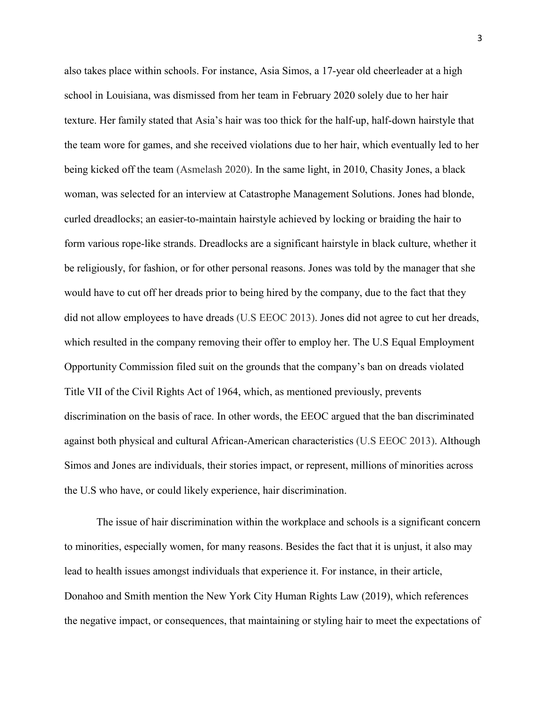also takes place within schools. For instance, Asia Simos, a 17-year old cheerleader at a high school in Louisiana, was dismissed from her team in February 2020 solely due to her hair texture. Her family stated that Asia's hair was too thick for the half-up, half-down hairstyle that the team wore for games, and she received violations due to her hair, which eventually led to her being kicked off the team (Asmelash 2020). In the same light, in 2010, Chasity Jones, a black woman, was selected for an interview at Catastrophe Management Solutions. Jones had blonde, curled dreadlocks; an easier-to-maintain hairstyle achieved by locking or braiding the hair to form various rope-like strands. Dreadlocks are a significant hairstyle in black culture, whether it be religiously, for fashion, or for other personal reasons. Jones was told by the manager that she would have to cut off her dreads prior to being hired by the company, due to the fact that they did not allow employees to have dreads (U.S EEOC 2013). Jones did not agree to cut her dreads, which resulted in the company removing their offer to employ her. The U.S Equal Employment Opportunity Commission filed suit on the grounds that the company's ban on dreads violated Title VII of the Civil Rights Act of 1964, which, as mentioned previously, prevents discrimination on the basis of race. In other words, the EEOC argued that the ban discriminated against both physical and cultural African-American characteristics (U.S EEOC 2013). Although Simos and Jones are individuals, their stories impact, or represent, millions of minorities across the U.S who have, or could likely experience, hair discrimination.

The issue of hair discrimination within the workplace and schools is a significant concern to minorities, especially women, for many reasons. Besides the fact that it is unjust, it also may lead to health issues amongst individuals that experience it. For instance, in their article, Donahoo and Smith mention the New York City Human Rights Law (2019), which references the negative impact, or consequences, that maintaining or styling hair to meet the expectations of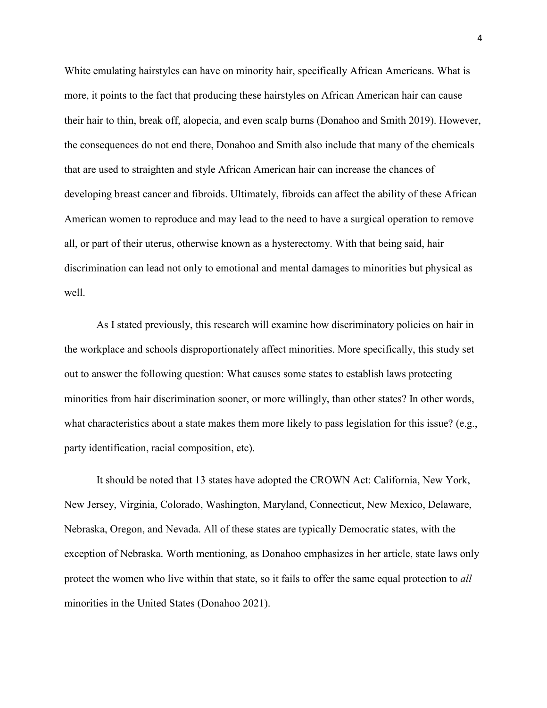White emulating hairstyles can have on minority hair, specifically African Americans. What is more, it points to the fact that producing these hairstyles on African American hair can cause their hair to thin, break off, alopecia, and even scalp burns (Donahoo and Smith 2019). However, the consequences do not end there, Donahoo and Smith also include that many of the chemicals that are used to straighten and style African American hair can increase the chances of developing breast cancer and fibroids. Ultimately, fibroids can affect the ability of these African American women to reproduce and may lead to the need to have a surgical operation to remove all, or part of their uterus, otherwise known as a hysterectomy. With that being said, hair discrimination can lead not only to emotional and mental damages to minorities but physical as well.

As I stated previously, this research will examine how discriminatory policies on hair in the workplace and schools disproportionately affect minorities. More specifically, this study set out to answer the following question: What causes some states to establish laws protecting minorities from hair discrimination sooner, or more willingly, than other states? In other words, what characteristics about a state makes them more likely to pass legislation for this issue? (e.g., party identification, racial composition, etc).

It should be noted that 13 states have adopted the CROWN Act: California, New York, New Jersey, Virginia, Colorado, Washington, Maryland, Connecticut, New Mexico, Delaware, Nebraska, Oregon, and Nevada. All of these states are typically Democratic states, with the exception of Nebraska. Worth mentioning, as Donahoo emphasizes in her article, state laws only protect the women who live within that state, so it fails to offer the same equal protection to *all* minorities in the United States (Donahoo 2021).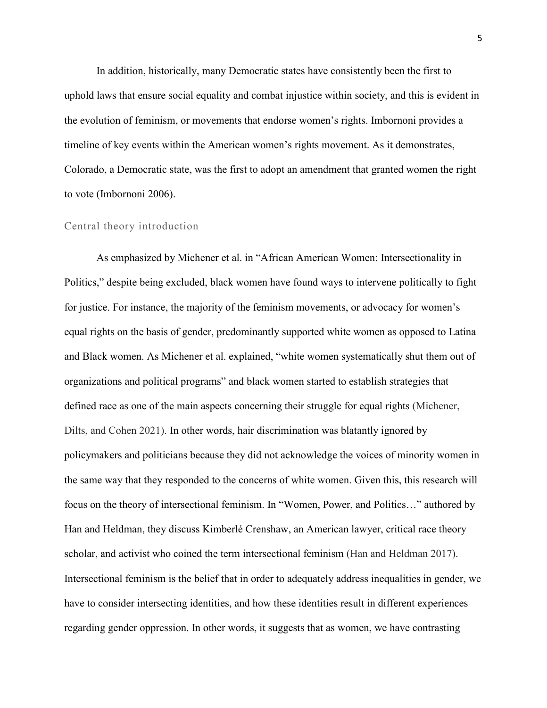In addition, historically, many Democratic states have consistently been the first to uphold laws that ensure social equality and combat injustice within society, and this is evident in the evolution of feminism, or movements that endorse women's rights. Imbornoni provides a timeline of key events within the American women's rights movement. As it demonstrates, Colorado, a Democratic state, was the first to adopt an amendment that granted women the right to vote (Imbornoni 2006).

#### Central theory introduction

As emphasized by Michener et al. in "African American Women: Intersectionality in Politics," despite being excluded, black women have found ways to intervene politically to fight for justice. For instance, the majority of the feminism movements, or advocacy for women's equal rights on the basis of gender, predominantly supported white women as opposed to Latina and Black women. As Michener et al. explained, "white women systematically shut them out of organizations and political programs" and black women started to establish strategies that defined race as one of the main aspects concerning their struggle for equal rights (Michener, Dilts, and Cohen 2021). In other words, hair discrimination was blatantly ignored by policymakers and politicians because they did not acknowledge the voices of minority women in the same way that they responded to the concerns of white women. Given this, this research will focus on the theory of intersectional feminism. In "Women, Power, and Politics…" authored by Han and Heldman, they discuss Kimberlé Crenshaw, an American lawyer, critical race theory scholar, and activist who coined the term intersectional feminism (Han and Heldman 2017). Intersectional feminism is the belief that in order to adequately address inequalities in gender, we have to consider intersecting identities, and how these identities result in different experiences regarding gender oppression. In other words, it suggests that as women, we have contrasting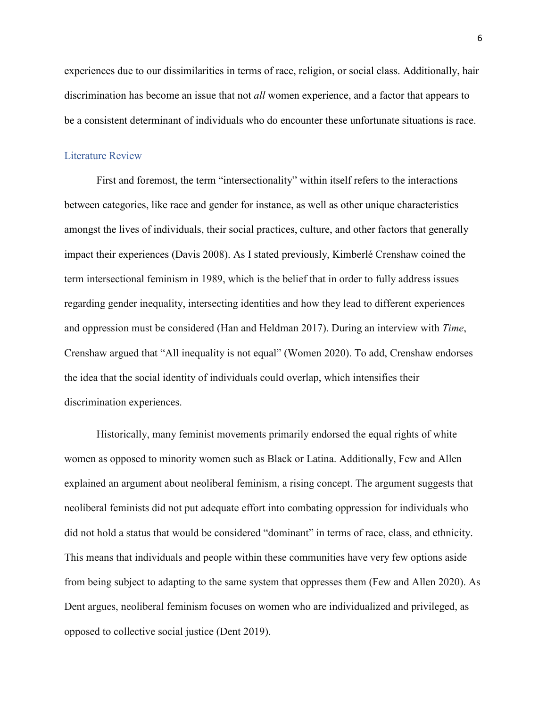experiences due to our dissimilarities in terms of race, religion, or social class. Additionally, hair discrimination has become an issue that not *all* women experience, and a factor that appears to be a consistent determinant of individuals who do encounter these unfortunate situations is race.

#### Literature Review

First and foremost, the term "intersectionality" within itself refers to the interactions between categories, like race and gender for instance, as well as other unique characteristics amongst the lives of individuals, their social practices, culture, and other factors that generally impact their experiences (Davis 2008). As I stated previously, Kimberlé Crenshaw coined the term intersectional feminism in 1989, which is the belief that in order to fully address issues regarding gender inequality, intersecting identities and how they lead to different experiences and oppression must be considered (Han and Heldman 2017). During an interview with *Time*, Crenshaw argued that "All inequality is not equal" (Women 2020). To add, Crenshaw endorses the idea that the social identity of individuals could overlap, which intensifies their discrimination experiences.

Historically, many feminist movements primarily endorsed the equal rights of white women as opposed to minority women such as Black or Latina. Additionally, Few and Allen explained an argument about neoliberal feminism, a rising concept. The argument suggests that neoliberal feminists did not put adequate effort into combating oppression for individuals who did not hold a status that would be considered "dominant" in terms of race, class, and ethnicity. This means that individuals and people within these communities have very few options aside from being subject to adapting to the same system that oppresses them (Few and Allen 2020). As Dent argues, neoliberal feminism focuses on women who are individualized and privileged, as opposed to collective social justice (Dent 2019).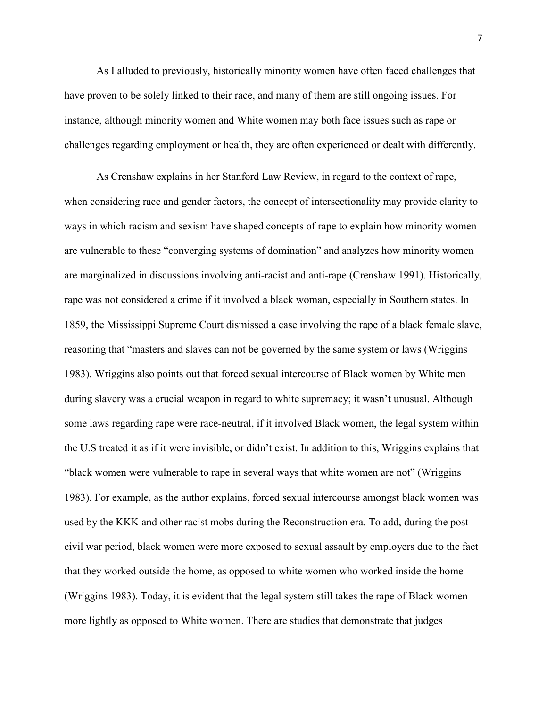As I alluded to previously, historically minority women have often faced challenges that have proven to be solely linked to their race, and many of them are still ongoing issues. For instance, although minority women and White women may both face issues such as rape or challenges regarding employment or health, they are often experienced or dealt with differently.

As Crenshaw explains in her Stanford Law Review, in regard to the context of rape, when considering race and gender factors, the concept of intersectionality may provide clarity to ways in which racism and sexism have shaped concepts of rape to explain how minority women are vulnerable to these "converging systems of domination" and analyzes how minority women are marginalized in discussions involving anti-racist and anti-rape (Crenshaw 1991). Historically, rape was not considered a crime if it involved a black woman, especially in Southern states. In 1859, the Mississippi Supreme Court dismissed a case involving the rape of a black female slave, reasoning that "masters and slaves can not be governed by the same system or laws (Wriggins 1983). Wriggins also points out that forced sexual intercourse of Black women by White men during slavery was a crucial weapon in regard to white supremacy; it wasn't unusual. Although some laws regarding rape were race-neutral, if it involved Black women, the legal system within the U.S treated it as if it were invisible, or didn't exist. In addition to this, Wriggins explains that "black women were vulnerable to rape in several ways that white women are not" (Wriggins 1983). For example, as the author explains, forced sexual intercourse amongst black women was used by the KKK and other racist mobs during the Reconstruction era. To add, during the postcivil war period, black women were more exposed to sexual assault by employers due to the fact that they worked outside the home, as opposed to white women who worked inside the home (Wriggins 1983). Today, it is evident that the legal system still takes the rape of Black women more lightly as opposed to White women. There are studies that demonstrate that judges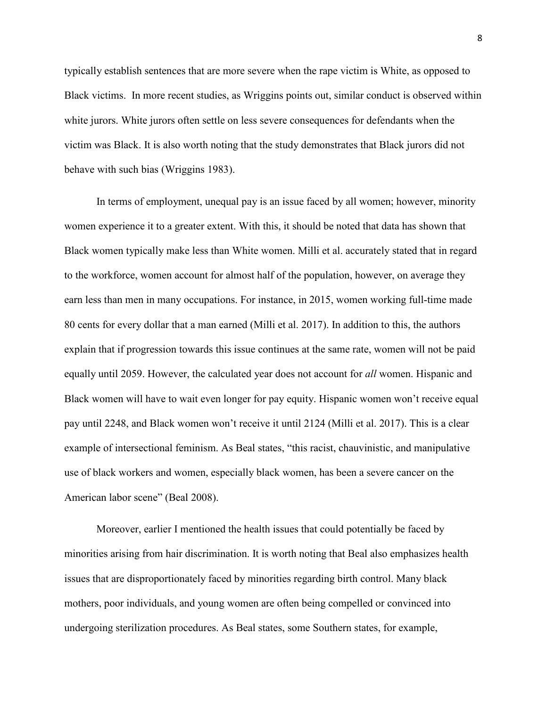typically establish sentences that are more severe when the rape victim is White, as opposed to Black victims. In more recent studies, as Wriggins points out, similar conduct is observed within white jurors. White jurors often settle on less severe consequences for defendants when the victim was Black. It is also worth noting that the study demonstrates that Black jurors did not behave with such bias (Wriggins 1983).

In terms of employment, unequal pay is an issue faced by all women; however, minority women experience it to a greater extent. With this, it should be noted that data has shown that Black women typically make less than White women. Milli et al. accurately stated that in regard to the workforce, women account for almost half of the population, however, on average they earn less than men in many occupations. For instance, in 2015, women working full-time made 80 cents for every dollar that a man earned (Milli et al. 2017). In addition to this, the authors explain that if progression towards this issue continues at the same rate, women will not be paid equally until 2059. However, the calculated year does not account for *all* women. Hispanic and Black women will have to wait even longer for pay equity. Hispanic women won't receive equal pay until 2248, and Black women won't receive it until 2124 (Milli et al. 2017). This is a clear example of intersectional feminism. As Beal states, "this racist, chauvinistic, and manipulative use of black workers and women, especially black women, has been a severe cancer on the American labor scene" (Beal 2008).

Moreover, earlier I mentioned the health issues that could potentially be faced by minorities arising from hair discrimination. It is worth noting that Beal also emphasizes health issues that are disproportionately faced by minorities regarding birth control. Many black mothers, poor individuals, and young women are often being compelled or convinced into undergoing sterilization procedures. As Beal states, some Southern states, for example,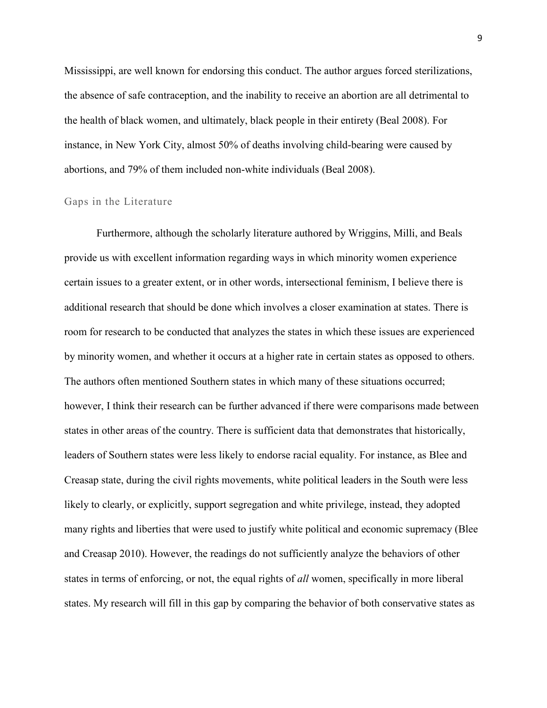Mississippi, are well known for endorsing this conduct. The author argues forced sterilizations, the absence of safe contraception, and the inability to receive an abortion are all detrimental to the health of black women, and ultimately, black people in their entirety (Beal 2008). For instance, in New York City, almost 50% of deaths involving child-bearing were caused by abortions, and 79% of them included non-white individuals (Beal 2008).

#### Gaps in the Literature

Furthermore, although the scholarly literature authored by Wriggins, Milli, and Beals provide us with excellent information regarding ways in which minority women experience certain issues to a greater extent, or in other words, intersectional feminism, I believe there is additional research that should be done which involves a closer examination at states. There is room for research to be conducted that analyzes the states in which these issues are experienced by minority women, and whether it occurs at a higher rate in certain states as opposed to others. The authors often mentioned Southern states in which many of these situations occurred; however, I think their research can be further advanced if there were comparisons made between states in other areas of the country. There is sufficient data that demonstrates that historically, leaders of Southern states were less likely to endorse racial equality. For instance, as Blee and Creasap state, during the civil rights movements, white political leaders in the South were less likely to clearly, or explicitly, support segregation and white privilege, instead, they adopted many rights and liberties that were used to justify white political and economic supremacy (Blee and Creasap 2010). However, the readings do not sufficiently analyze the behaviors of other states in terms of enforcing, or not, the equal rights of *all* women, specifically in more liberal states. My research will fill in this gap by comparing the behavior of both conservative states as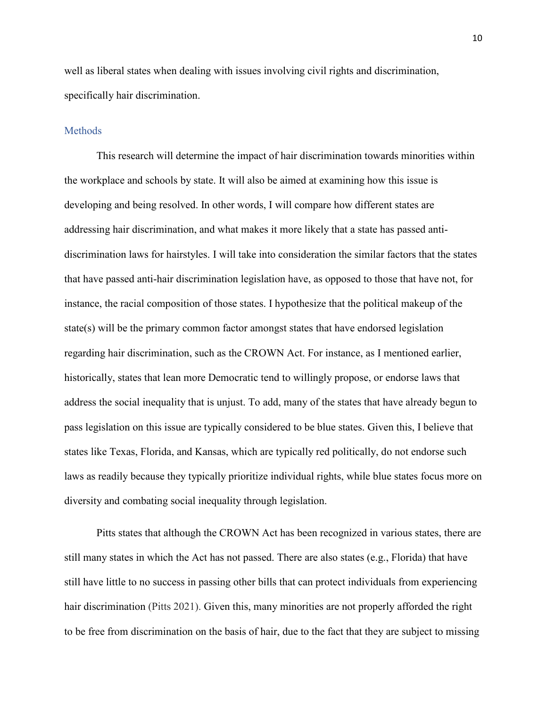well as liberal states when dealing with issues involving civil rights and discrimination, specifically hair discrimination.

#### **Methods**

This research will determine the impact of hair discrimination towards minorities within the workplace and schools by state. It will also be aimed at examining how this issue is developing and being resolved. In other words, I will compare how different states are addressing hair discrimination, and what makes it more likely that a state has passed antidiscrimination laws for hairstyles. I will take into consideration the similar factors that the states that have passed anti-hair discrimination legislation have, as opposed to those that have not, for instance, the racial composition of those states. I hypothesize that the political makeup of the state(s) will be the primary common factor amongst states that have endorsed legislation regarding hair discrimination, such as the CROWN Act. For instance, as I mentioned earlier, historically, states that lean more Democratic tend to willingly propose, or endorse laws that address the social inequality that is unjust. To add, many of the states that have already begun to pass legislation on this issue are typically considered to be blue states. Given this, I believe that states like Texas, Florida, and Kansas, which are typically red politically, do not endorse such laws as readily because they typically prioritize individual rights, while blue states focus more on diversity and combating social inequality through legislation.

Pitts states that although the CROWN Act has been recognized in various states, there are still many states in which the Act has not passed. There are also states (e.g., Florida) that have still have little to no success in passing other bills that can protect individuals from experiencing hair discrimination (Pitts 2021). Given this, many minorities are not properly afforded the right to be free from discrimination on the basis of hair, due to the fact that they are subject to missing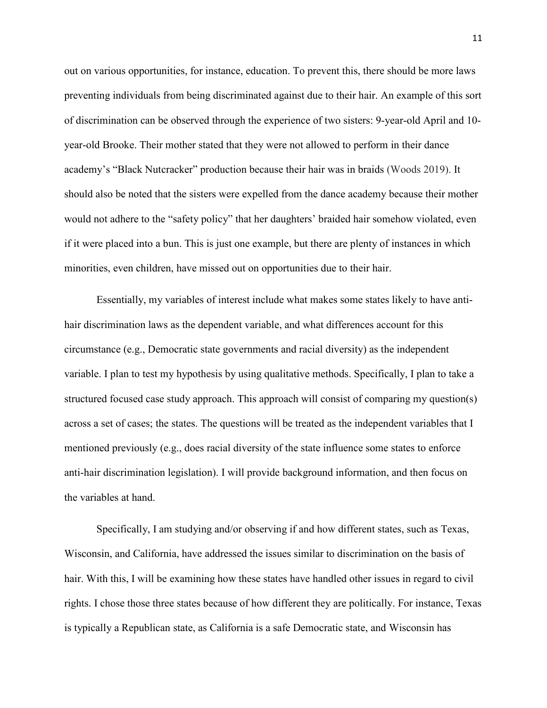out on various opportunities, for instance, education. To prevent this, there should be more laws preventing individuals from being discriminated against due to their hair. An example of this sort of discrimination can be observed through the experience of two sisters: 9-year-old April and 10 year-old Brooke. Their mother stated that they were not allowed to perform in their dance academy's "Black Nutcracker" production because their hair was in braids (Woods 2019). It should also be noted that the sisters were expelled from the dance academy because their mother would not adhere to the "safety policy" that her daughters' braided hair somehow violated, even if it were placed into a bun. This is just one example, but there are plenty of instances in which minorities, even children, have missed out on opportunities due to their hair.

Essentially, my variables of interest include what makes some states likely to have antihair discrimination laws as the dependent variable, and what differences account for this circumstance (e.g., Democratic state governments and racial diversity) as the independent variable. I plan to test my hypothesis by using qualitative methods. Specifically, I plan to take a structured focused case study approach. This approach will consist of comparing my question(s) across a set of cases; the states. The questions will be treated as the independent variables that I mentioned previously (e.g., does racial diversity of the state influence some states to enforce anti-hair discrimination legislation). I will provide background information, and then focus on the variables at hand.

Specifically, I am studying and/or observing if and how different states, such as Texas, Wisconsin, and California, have addressed the issues similar to discrimination on the basis of hair. With this, I will be examining how these states have handled other issues in regard to civil rights. I chose those three states because of how different they are politically. For instance, Texas is typically a Republican state, as California is a safe Democratic state, and Wisconsin has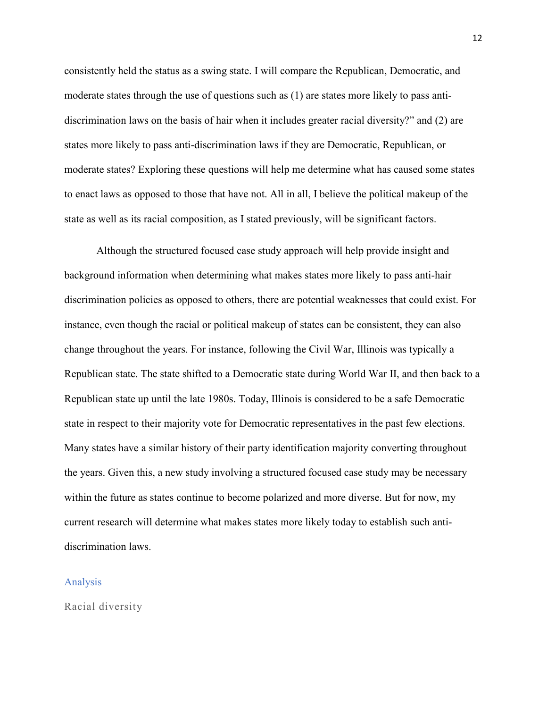consistently held the status as a swing state. I will compare the Republican, Democratic, and moderate states through the use of questions such as (1) are states more likely to pass antidiscrimination laws on the basis of hair when it includes greater racial diversity?" and (2) are states more likely to pass anti-discrimination laws if they are Democratic, Republican, or moderate states? Exploring these questions will help me determine what has caused some states to enact laws as opposed to those that have not. All in all, I believe the political makeup of the state as well as its racial composition, as I stated previously, will be significant factors.

Although the structured focused case study approach will help provide insight and background information when determining what makes states more likely to pass anti-hair discrimination policies as opposed to others, there are potential weaknesses that could exist. For instance, even though the racial or political makeup of states can be consistent, they can also change throughout the years. For instance, following the Civil War, Illinois was typically a Republican state. The state shifted to a Democratic state during World War II, and then back to a Republican state up until the late 1980s. Today, Illinois is considered to be a safe Democratic state in respect to their majority vote for Democratic representatives in the past few elections. Many states have a similar history of their party identification majority converting throughout the years. Given this, a new study involving a structured focused case study may be necessary within the future as states continue to become polarized and more diverse. But for now, my current research will determine what makes states more likely today to establish such antidiscrimination laws.

#### Analysis

Racial diversity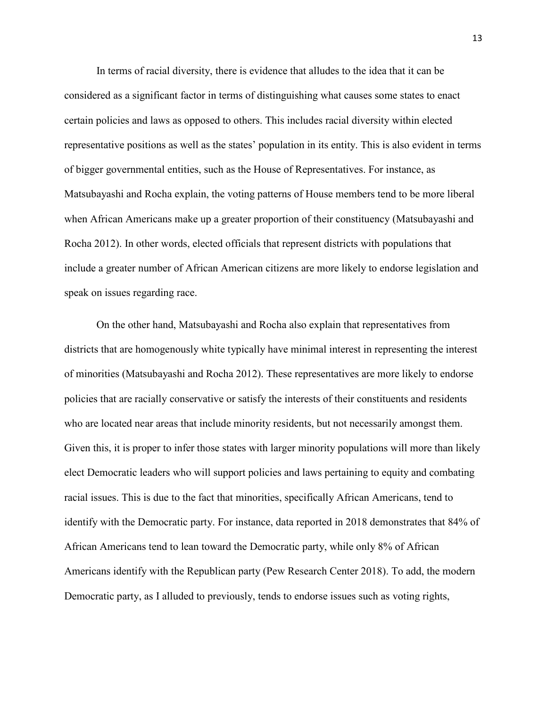In terms of racial diversity, there is evidence that alludes to the idea that it can be considered as a significant factor in terms of distinguishing what causes some states to enact certain policies and laws as opposed to others. This includes racial diversity within elected representative positions as well as the states' population in its entity. This is also evident in terms of bigger governmental entities, such as the House of Representatives. For instance, as Matsubayashi and Rocha explain, the voting patterns of House members tend to be more liberal when African Americans make up a greater proportion of their constituency (Matsubayashi and Rocha 2012). In other words, elected officials that represent districts with populations that include a greater number of African American citizens are more likely to endorse legislation and speak on issues regarding race.

On the other hand, Matsubayashi and Rocha also explain that representatives from districts that are homogenously white typically have minimal interest in representing the interest of minorities (Matsubayashi and Rocha 2012). These representatives are more likely to endorse policies that are racially conservative or satisfy the interests of their constituents and residents who are located near areas that include minority residents, but not necessarily amongst them. Given this, it is proper to infer those states with larger minority populations will more than likely elect Democratic leaders who will support policies and laws pertaining to equity and combating racial issues. This is due to the fact that minorities, specifically African Americans, tend to identify with the Democratic party. For instance, data reported in 2018 demonstrates that 84% of African Americans tend to lean toward the Democratic party, while only 8% of African Americans identify with the Republican party (Pew Research Center 2018). To add, the modern Democratic party, as I alluded to previously, tends to endorse issues such as voting rights,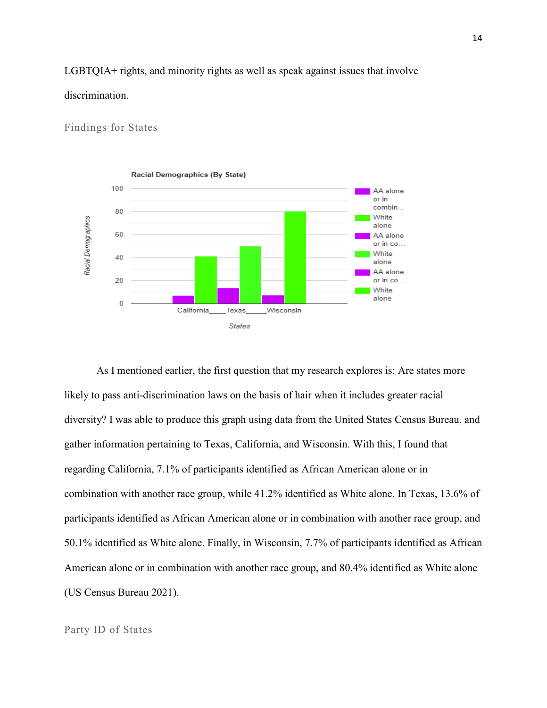#### LGBTQIA+ rights, and minority rights as well as speak against issues that involve

#### discrimination.

#### Findings for States



As I mentioned earlier, the first question that my research explores is: Are states more likely to pass anti-discrimination laws on the basis of hair when it includes greater racial diversity? I was able to produce this graph using data from the United States Census Bureau, and gather information pertaining to Texas, California, and Wisconsin. With this, I found that regarding California, 7.1% of participants identified as African American alone or in combination with another race group, while 41.2% identified as White alone. In Texas, 13.6% of participants identified as African American alone or in combination with another race group, and 50.1% identified as White alone. Finally, in Wisconsin, 7.7% of participants identified as African American alone or in combination with another race group, and 80.4% identified as White alone (US Census Bureau 2021).

#### Party ID of States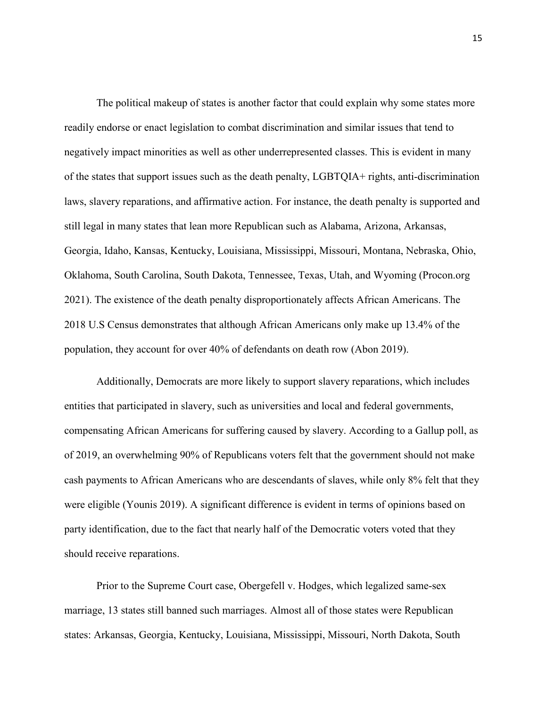The political makeup of states is another factor that could explain why some states more readily endorse or enact legislation to combat discrimination and similar issues that tend to negatively impact minorities as well as other underrepresented classes. This is evident in many of the states that support issues such as the death penalty, LGBTQIA+ rights, anti-discrimination laws, slavery reparations, and affirmative action. For instance, the death penalty is supported and still legal in many states that lean more Republican such as Alabama, Arizona, Arkansas, Georgia, Idaho, Kansas, Kentucky, Louisiana, Mississippi, Missouri, Montana, Nebraska, Ohio, Oklahoma, South Carolina, South Dakota, Tennessee, Texas, Utah, and Wyoming (Procon.org 2021). The existence of the death penalty disproportionately affects African Americans. The 2018 U.S Census demonstrates that although African Americans only make up 13.4% of the population, they account for over 40% of defendants on death row (Abon 2019).

Additionally, Democrats are more likely to support slavery reparations, which includes entities that participated in slavery, such as universities and local and federal governments, compensating African Americans for suffering caused by slavery. According to a Gallup poll, as of 2019, an overwhelming 90% of Republicans voters felt that the government should not make cash payments to African Americans who are descendants of slaves, while only 8% felt that they were eligible (Younis 2019). A significant difference is evident in terms of opinions based on party identification, due to the fact that nearly half of the Democratic voters voted that they should receive reparations.

Prior to the Supreme Court case, Obergefell v. Hodges, which legalized same-sex marriage, 13 states still banned such marriages. Almost all of those states were Republican states: Arkansas, Georgia, Kentucky, Louisiana, Mississippi, Missouri, North Dakota, South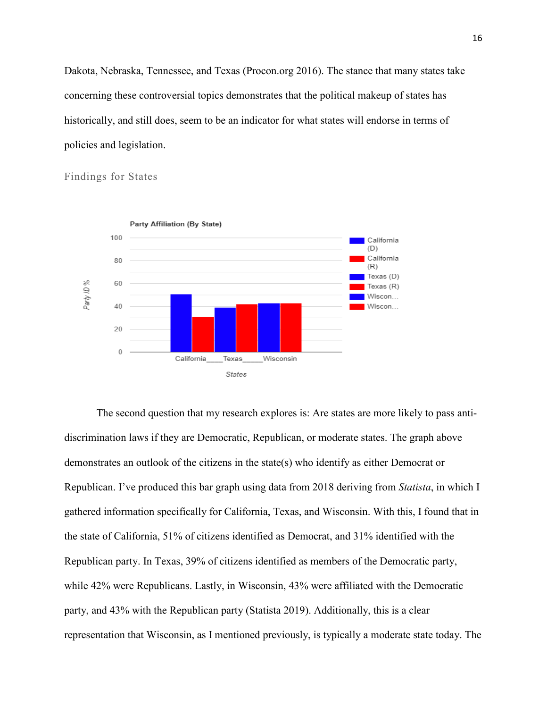Dakota, Nebraska, Tennessee, and Texas (Procon.org 2016). The stance that many states take concerning these controversial topics demonstrates that the political makeup of states has historically, and still does, seem to be an indicator for what states will endorse in terms of policies and legislation.



Findings for States

The second question that my research explores is: Are states are more likely to pass antidiscrimination laws if they are Democratic, Republican, or moderate states. The graph above demonstrates an outlook of the citizens in the state(s) who identify as either Democrat or Republican. I've produced this bar graph using data from 2018 deriving from *Statista*, in which I gathered information specifically for California, Texas, and Wisconsin. With this, I found that in the state of California, 51% of citizens identified as Democrat, and 31% identified with the Republican party. In Texas, 39% of citizens identified as members of the Democratic party, while 42% were Republicans. Lastly, in Wisconsin, 43% were affiliated with the Democratic party, and 43% with the Republican party (Statista 2019). Additionally, this is a clear representation that Wisconsin, as I mentioned previously, is typically a moderate state today. The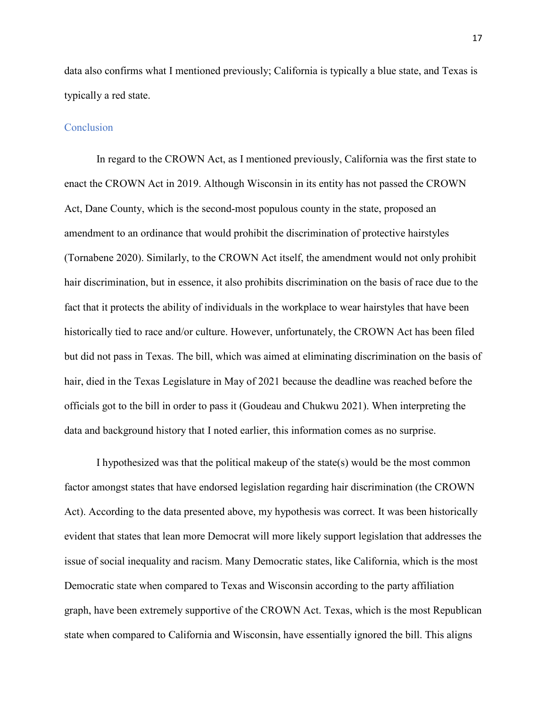data also confirms what I mentioned previously; California is typically a blue state, and Texas is typically a red state.

#### Conclusion

In regard to the CROWN Act, as I mentioned previously, California was the first state to enact the CROWN Act in 2019. Although Wisconsin in its entity has not passed the CROWN Act, Dane County, which is the second-most populous county in the state, proposed an amendment to an ordinance that would prohibit the discrimination of protective hairstyles (Tornabene 2020). Similarly, to the CROWN Act itself, the amendment would not only prohibit hair discrimination, but in essence, it also prohibits discrimination on the basis of race due to the fact that it protects the ability of individuals in the workplace to wear hairstyles that have been historically tied to race and/or culture. However, unfortunately, the CROWN Act has been filed but did not pass in Texas. The bill, which was aimed at eliminating discrimination on the basis of hair, died in the Texas Legislature in May of 2021 because the deadline was reached before the officials got to the bill in order to pass it (Goudeau and Chukwu 2021). When interpreting the data and background history that I noted earlier, this information comes as no surprise.

I hypothesized was that the political makeup of the state(s) would be the most common factor amongst states that have endorsed legislation regarding hair discrimination (the CROWN Act). According to the data presented above, my hypothesis was correct. It was been historically evident that states that lean more Democrat will more likely support legislation that addresses the issue of social inequality and racism. Many Democratic states, like California, which is the most Democratic state when compared to Texas and Wisconsin according to the party affiliation graph, have been extremely supportive of the CROWN Act. Texas, which is the most Republican state when compared to California and Wisconsin, have essentially ignored the bill. This aligns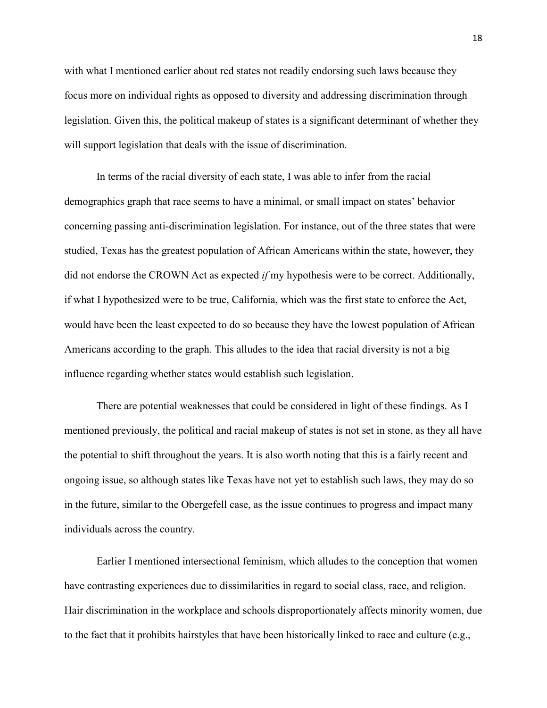with what I mentioned earlier about red states not readily endorsing such laws because they focus more on individual rights as opposed to diversity and addressing discrimination through legislation. Given this, the political makeup of states is a significant determinant of whether they will support legislation that deals with the issue of discrimination.

In terms of the racial diversity of each state, I was able to infer from the racial demographics graph that race seems to have a minimal, or small impact on states' behavior concerning passing anti-discrimination legislation. For instance, out of the three states that were studied, Texas has the greatest population of African Americans within the state, however, they did not endorse the CROWN Act as expected *if* my hypothesis were to be correct. Additionally, if what I hypothesized were to be true, California, which was the first state to enforce the Act, would have been the least expected to do so because they have the lowest population of African Americans according to the graph. This alludes to the idea that racial diversity is not a big influence regarding whether states would establish such legislation.

There are potential weaknesses that could be considered in light of these findings. As I mentioned previously, the political and racial makeup of states is not set in stone, as they all have the potential to shift throughout the years. It is also worth noting that this is a fairly recent and ongoing issue, so although states like Texas have not yet to establish such laws, they may do so in the future, similar to the Obergefell case, as the issue continues to progress and impact many individuals across the country.

Earlier I mentioned intersectional feminism, which alludes to the conception that women have contrasting experiences due to dissimilarities in regard to social class, race, and religion. Hair discrimination in the workplace and schools disproportionately affects minority women, due to the fact that it prohibits hairstyles that have been historically linked to race and culture (e.g.,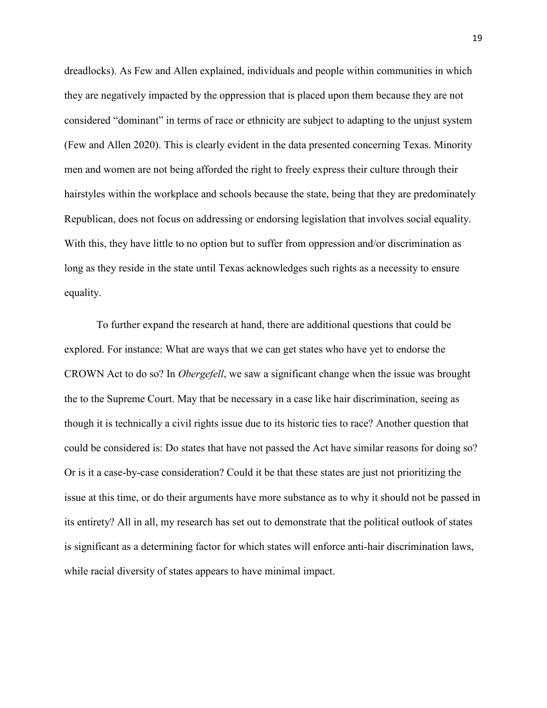dreadlocks). As Few and Allen explained, individuals and people within communities in which they are negatively impacted by the oppression that is placed upon them because they are not considered "dominant" in terms of race or ethnicity are subject to adapting to the unjust system (Few and Allen 2020). This is clearly evident in the data presented concerning Texas. Minority men and women are not being afforded the right to freely express their culture through their hairstyles within the workplace and schools because the state, being that they are predominately Republican, does not focus on addressing or endorsing legislation that involves social equality. With this, they have little to no option but to suffer from oppression and/or discrimination as long as they reside in the state until Texas acknowledges such rights as a necessity to ensure equality.

To further expand the research at hand, there are additional questions that could be explored. For instance: What are ways that we can get states who have yet to endorse the CROWN Act to do so? In *Obergefell*, we saw a significant change when the issue was brought the to the Supreme Court. May that be necessary in a case like hair discrimination, seeing as though it is technically a civil rights issue due to its historic ties to race? Another question that could be considered is: Do states that have not passed the Act have similar reasons for doing so? Or is it a case-by-case consideration? Could it be that these states are just not prioritizing the issue at this time, or do their arguments have more substance as to why it should not be passed in its entirety? All in all, my research has set out to demonstrate that the political outlook of states is significant as a determining factor for which states will enforce anti-hair discrimination laws, while racial diversity of states appears to have minimal impact.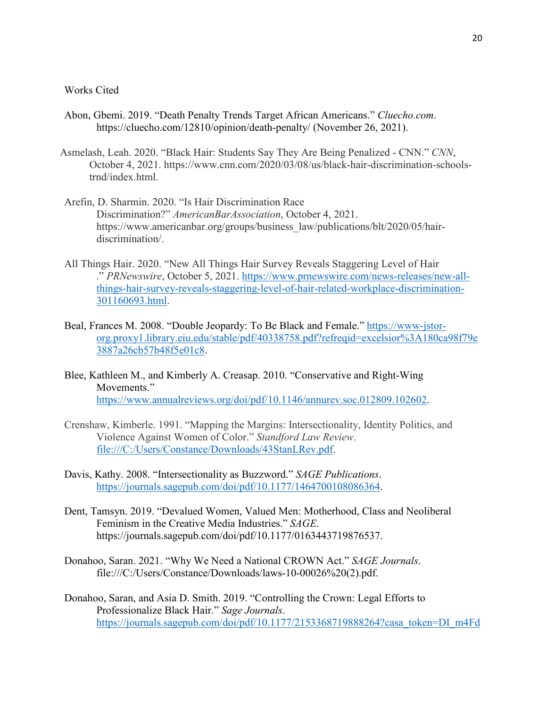#### Works Cited

- Abon, Gbemi. 2019. "Death Penalty Trends Target African Americans." *Cluecho.com*. https://cluecho.com/12810/opinion/death-penalty/ (November 26, 2021).
- Asmelash, Leah. 2020. "Black Hair: Students Say They Are Being Penalized CNN." *CNN*, October 4, 2021. https://www.cnn.com/2020/03/08/us/black-hair-discrimination-schoolstrnd/index.html.
- Arefin, D. Sharmin. 2020. "Is Hair Discrimination Race Discrimination?" *AmericanBarAssociation*, October 4, 2021. https://www.americanbar.org/groups/business\_law/publications/blt/2020/05/hairdiscrimination/.
- All Things Hair. 2020. "New All Things Hair Survey Reveals Staggering Level of Hair ." *PRNewswire*, October 5, 2021. [https://www.prnewswire.com/news-releases/new-all](https://www.prnewswire.com/news-releases/new-all-things-hair-survey-reveals-staggering-level-of-hair-related-workplace-discrimination-301160693.html)[things-hair-survey-reveals-staggering-level-of-hair-related-workplace-discrimination-](https://www.prnewswire.com/news-releases/new-all-things-hair-survey-reveals-staggering-level-of-hair-related-workplace-discrimination-301160693.html)[301160693.html.](https://www.prnewswire.com/news-releases/new-all-things-hair-survey-reveals-staggering-level-of-hair-related-workplace-discrimination-301160693.html)
- Beal, Frances M. 2008. "Double Jeopardy: To Be Black and Female." [https://www-jstor](https://www-jstor-org.proxy1.library.eiu.edu/stable/pdf/40338758.pdf?refreqid=excelsior%3A180ca98f79e3887a26cb57b48f5e01c8)[org.proxy1.library.eiu.edu/stable/pdf/40338758.pdf?refreqid=excelsior%3A180ca98f79e](https://www-jstor-org.proxy1.library.eiu.edu/stable/pdf/40338758.pdf?refreqid=excelsior%3A180ca98f79e3887a26cb57b48f5e01c8) [3887a26cb57b48f5e01c8.](https://www-jstor-org.proxy1.library.eiu.edu/stable/pdf/40338758.pdf?refreqid=excelsior%3A180ca98f79e3887a26cb57b48f5e01c8)
- Blee, Kathleen M., and Kimberly A. Creasap. 2010. "Conservative and Right-Wing Movements." [https://www.annualreviews.org/doi/pdf/10.1146/annurev.soc.012809.102602.](https://www.annualreviews.org/doi/pdf/10.1146/annurev.soc.012809.102602)
- Crenshaw, Kimberle. 1991. "Mapping the Margins: Intersectionality, Identity Politics, and Violence Against Women of Color." *Standford Law Review*. file:///C:/Users/Constance/Downloads/43StanLRev.pdf.
- Davis, Kathy. 2008. "Intersectionality as Buzzword." *SAGE Publications*. [https://journals.sagepub.com/doi/pdf/10.1177/1464700108086364.](https://journals.sagepub.com/doi/pdf/10.1177/1464700108086364)
- Dent, Tamsyn. 2019. "Devalued Women, Valued Men: Motherhood, Class and Neoliberal Feminism in the Creative Media Industries." *SAGE*. https://journals.sagepub.com/doi/pdf/10.1177/0163443719876537.
- Donahoo, Saran. 2021. "Why We Need a National CROWN Act." *SAGE Journals*. file:///C:/Users/Constance/Downloads/laws-10-00026%20(2).pdf.
- Donahoo, Saran, and Asia D. Smith. 2019. "Controlling the Crown: Legal Efforts to Professionalize Black Hair." *Sage Journals*. [https://journals.sagepub.com/doi/pdf/10.1177/2153368719888264?casa\\_token=DI\\_m4Fd](https://journals.sagepub.com/doi/pdf/10.1177/2153368719888264?casa_token=DI_m4Fdu-hoAAAAA:2YZ7n9uuQygvSLkk4jpWhqvSjAm3Zm_craIng0KNI-Dm-lnRn39bulZ0LG6TLZXNPVUkUNM6ioSY8g)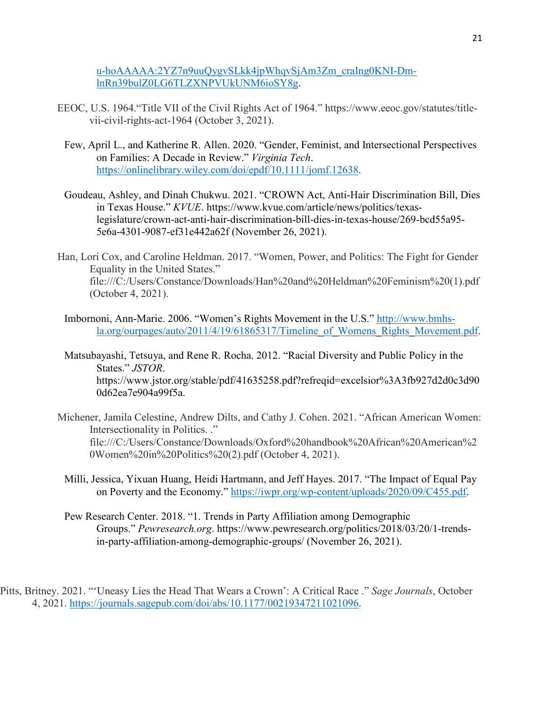[u-hoAAAAA:2YZ7n9uuQygvSLkk4jpWhqvSjAm3Zm\\_craIng0KNI-Dm](https://journals.sagepub.com/doi/pdf/10.1177/2153368719888264?casa_token=DI_m4Fdu-hoAAAAA:2YZ7n9uuQygvSLkk4jpWhqvSjAm3Zm_craIng0KNI-Dm-lnRn39bulZ0LG6TLZXNPVUkUNM6ioSY8g)[lnRn39bulZ0LG6TLZXNPVUkUNM6ioSY8g.](https://journals.sagepub.com/doi/pdf/10.1177/2153368719888264?casa_token=DI_m4Fdu-hoAAAAA:2YZ7n9uuQygvSLkk4jpWhqvSjAm3Zm_craIng0KNI-Dm-lnRn39bulZ0LG6TLZXNPVUkUNM6ioSY8g)

- EEOC, U.S. 1964."Title VII of the Civil Rights Act of 1964." https://www.eeoc.gov/statutes/titlevii-civil-rights-act-1964 (October 3, 2021).
	- Few, April L., and Katherine R. Allen. 2020. "Gender, Feminist, and Intersectional Perspectives on Families: A Decade in Review." *Virginia Tech*. [https://onlinelibrary.wiley.com/doi/epdf/10.1111/jomf.12638.](https://onlinelibrary.wiley.com/doi/epdf/10.1111/jomf.12638)
	- Goudeau, Ashley, and Dinah Chukwu. 2021. "CROWN Act, Anti-Hair Discrimination Bill, Dies in Texas House." *KVUE*. https://www.kvue.com/article/news/politics/texaslegislature/crown-act-anti-hair-discrimination-bill-dies-in-texas-house/269-bcd55a95- 5e6a-4301-9087-ef31e442a62f (November 26, 2021).
- Han, Lori Cox, and Caroline Heldman. 2017. "Women, Power, and Politics: The Fight for Gender Equality in the United States." file:///C:/Users/Constance/Downloads/Han%20and%20Heldman%20Feminism%20(1).pdf (October 4, 2021).
	- Imbornoni, Ann-Marie. 2006. "Women's Rights Movement in the U.S." [http://www.bmhs](http://www.bmhs-la.org/ourpages/auto/2011/4/19/61865317/Timeline_of_Womens_Rights_Movement.pdf)la.org/ourpages/auto/2011/4/19/61865317/Timeline of Womens Rights Movement.pdf.
	- Matsubayashi, Tetsuya, and Rene R. Rocha. 2012. "Racial Diversity and Public Policy in the States." *JSTOR*. https://www.jstor.org/stable/pdf/41635258.pdf?refreqid=excelsior%3A3fb927d2d0c3d90 0d62ea7e904a99f5a.
- Michener, Jamila Celestine, Andrew Dilts, and Cathy J. Cohen. 2021. "African American Women: Intersectionality in Politics. ." file:///C:/Users/Constance/Downloads/Oxford%20handbook%20African%20American%2 0Women%20in%20Politics%20(2).pdf (October 4, 2021).
	- Milli, Jessica, Yixuan Huang, Heidi Hartmann, and Jeff Hayes. 2017. "The Impact of Equal Pay on Poverty and the Economy." [https://iwpr.org/wp-content/uploads/2020/09/C455.pdf.](https://iwpr.org/wp-content/uploads/2020/09/C455.pdf)
	- Pew Research Center. 2018. "1. Trends in Party Affiliation among Demographic Groups." *Pewresearch.org*. https://www.pewresearch.org/politics/2018/03/20/1-trendsin-party-affiliation-among-demographic-groups/ (November 26, 2021).

Pitts, Britney. 2021. "'Uneasy Lies the Head That Wears a Crown': A Critical Race ." *Sage Journals*, October 4, 2021. [https://journals.sagepub.com/doi/abs/10.1177/00219347211021096.](https://journals.sagepub.com/doi/abs/10.1177/00219347211021096)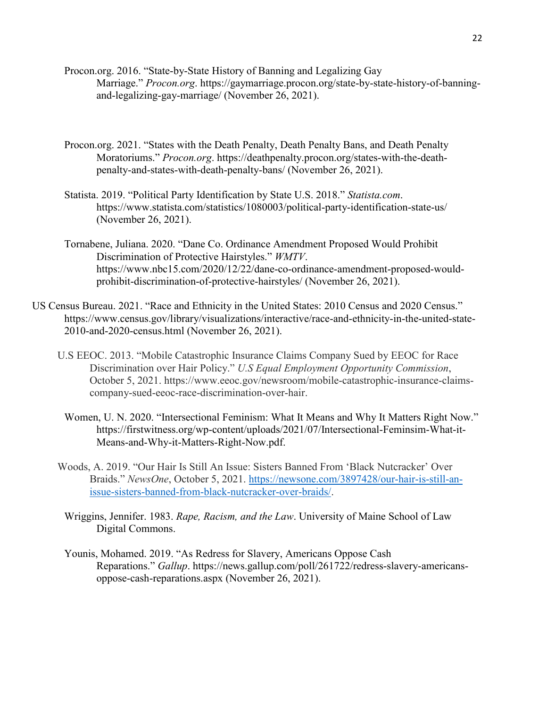- Procon.org. 2016. "State-by-State History of Banning and Legalizing Gay Marriage." *Procon.org*. https://gaymarriage.procon.org/state-by-state-history-of-banningand-legalizing-gay-marriage/ (November 26, 2021).
- Procon.org. 2021. "States with the Death Penalty, Death Penalty Bans, and Death Penalty Moratoriums." *Procon.org*. https://deathpenalty.procon.org/states-with-the-deathpenalty-and-states-with-death-penalty-bans/ (November 26, 2021).
- Statista. 2019. "Political Party Identification by State U.S. 2018." *Statista.com*. https://www.statista.com/statistics/1080003/political-party-identification-state-us/ (November 26, 2021).
- Tornabene, Juliana. 2020. "Dane Co. Ordinance Amendment Proposed Would Prohibit Discrimination of Protective Hairstyles." *WMTV*. https://www.nbc15.com/2020/12/22/dane-co-ordinance-amendment-proposed-wouldprohibit-discrimination-of-protective-hairstyles/ (November 26, 2021).
- US Census Bureau. 2021. "Race and Ethnicity in the United States: 2010 Census and 2020 Census." https://www.census.gov/library/visualizations/interactive/race-and-ethnicity-in-the-united-state-2010-and-2020-census.html (November 26, 2021).
	- U.S EEOC. 2013. "Mobile Catastrophic Insurance Claims Company Sued by EEOC for Race Discrimination over Hair Policy." *U.S Equal Employment Opportunity Commission*, October 5, 2021. https://www.eeoc.gov/newsroom/mobile-catastrophic-insurance-claimscompany-sued-eeoc-race-discrimination-over-hair.
		- Women, U. N. 2020. "Intersectional Feminism: What It Means and Why It Matters Right Now." https://firstwitness.org/wp-content/uploads/2021/07/Intersectional-Feminsim-What-it-Means-and-Why-it-Matters-Right-Now.pdf.
	- Woods, A. 2019. "Our Hair Is Still An Issue: Sisters Banned From 'Black Nutcracker' Over Braids." *NewsOne*, October 5, 2021. [https://newsone.com/3897428/our-hair-is-still-an](https://newsone.com/3897428/our-hair-is-still-an-issue-sisters-banned-from-black-nutcracker-over-braids/)[issue-sisters-banned-from-black-nutcracker-over-braids/.](https://newsone.com/3897428/our-hair-is-still-an-issue-sisters-banned-from-black-nutcracker-over-braids/)
		- Wriggins, Jennifer. 1983. *Rape, Racism, and the Law*. University of Maine School of Law Digital Commons.
		- Younis, Mohamed. 2019. "As Redress for Slavery, Americans Oppose Cash Reparations." *Gallup*. https://news.gallup.com/poll/261722/redress-slavery-americansoppose-cash-reparations.aspx (November 26, 2021).